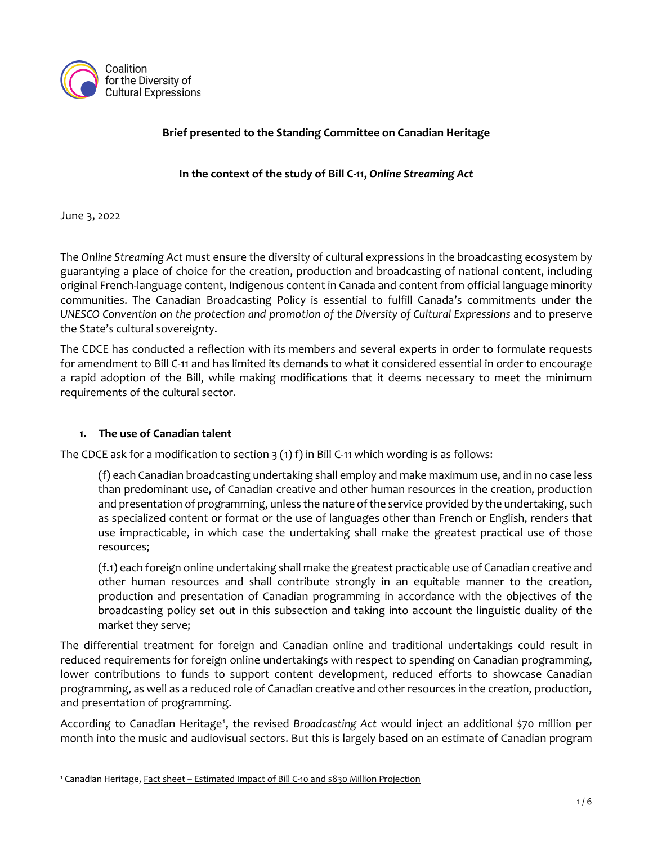

### **Brief presented to the Standing Committee on Canadian Heritage**

**In the context of the study of Bill C-11,** *Online Streaming Act*

June 3, 2022

The *Online Streaming Act* must ensure the diversity of cultural expressions in the broadcasting ecosystem by guarantying a place of choice for the creation, production and broadcasting of national content, including original French-language content, Indigenous content in Canada and content from official language minority communities. The Canadian Broadcasting Policy is essential to fulfill Canada's commitments under the *UNESCO Convention on the protection and promotion of the Diversity of Cultural Expressions* and to preserve the State's cultural sovereignty.

The CDCE has conducted a reflection with its members and several experts in order to formulate requests for amendment to Bill C-11 and has limited its demands to what it considered essential in order to encourage a rapid adoption of the Bill, while making modifications that it deems necessary to meet the minimum requirements of the cultural sector.

### **1. The use of Canadian talent**

The CDCE ask for a modification to section  $3(1)$  f) in Bill C-11 which wording is as follows:

(f) each Canadian broadcasting undertaking shall employ and make maximum use, and in no case less than predominant use, of Canadian creative and other human resources in the creation, production and presentation of programming, unless the nature of the service provided by the undertaking, such as specialized content or format or the use of languages other than French or English, renders that use impracticable, in which case the undertaking shall make the greatest practical use of those resources;

(f.1) each foreign online undertaking shall make the greatest practicable use of Canadian creative and other human resources and shall contribute strongly in an equitable manner to the creation, production and presentation of Canadian programming in accordance with the objectives of the broadcasting policy set out in this subsection and taking into account the linguistic duality of the market they serve;

The differential treatment for foreign and Canadian online and traditional undertakings could result in reduced requirements for foreign online undertakings with respect to spending on Canadian programming, lower contributions to funds to support content development, reduced efforts to showcase Canadian programming, as well as a reduced role of Canadian creative and other resources in the creation, production, and presentation of programming.

According to Canadian Heritage<sup>1</sup>, the revised Broadcasting Act would inject an additional \$70 million per month into the music and audiovisual sectors. But this is largely based on an estimate of Canadian program

<sup>1</sup> Canadian Heritage, Fact sheet – Estimated Impact of Bill C-10 and \$830 Million [Projection](https://www.canada.ca/en/canadian-heritage/corporate/transparency/open-government/standing-committee/guilbeault-bill-c10-consequential-amendments-broadcasting-acts/clause-analysis.html)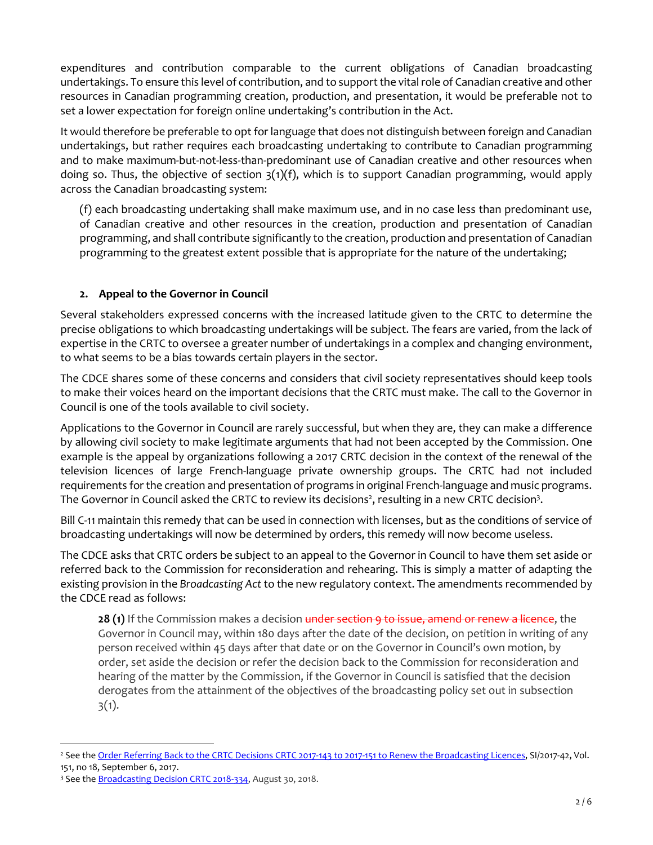expenditures and contribution comparable to the current obligations of Canadian broadcasting undertakings. To ensure this level of contribution, and to support the vital role of Canadian creative and other resources in Canadian programming creation, production, and presentation, it would be preferable not to set a lower expectation for foreign online undertaking's contribution in the Act.

It would therefore be preferable to opt for language that does not distinguish between foreign and Canadian undertakings, but rather requires each broadcasting undertaking to contribute to Canadian programming and to make maximum-but-not-less-than-predominant use of Canadian creative and other resources when doing so. Thus, the objective of section  $3(1)(f)$ , which is to support Canadian programming, would apply across the Canadian broadcasting system:

(f) each broadcasting undertaking shall make maximum use, and in no case less than predominant use, of Canadian creative and other resources in the creation, production and presentation of Canadian programming, and shall contribute significantly to the creation, production and presentation of Canadian programming to the greatest extent possible that is appropriate for the nature of the undertaking;

### **2. Appeal to the Governor in Council**

Several stakeholders expressed concerns with the increased latitude given to the CRTC to determine the precise obligations to which broadcasting undertakings will be subject. The fears are varied, from the lack of expertise in the CRTC to oversee a greater number of undertakings in a complex and changing environment, to what seems to be a bias towards certain players in the sector.

The CDCE shares some of these concerns and considers that civil society representatives should keep tools to make their voices heard on the important decisions that the CRTC must make. The call to the Governor in Council is one of the tools available to civil society.

Applications to the Governor in Council are rarely successful, but when they are, they can make a difference by allowing civil society to make legitimate arguments that had not been accepted by the Commission. One example is the appeal by organizations following a 2017 CRTC decision in the context of the renewal of the television licences of large French-language private ownership groups. The CRTC had not included requirements forthe creation and presentation of programs in original French-language and music programs. The Governor in Council asked the CRTC to review its decisions<sup>2</sup>, resulting in a new CRTC decision<sup>3</sup>.

Bill C-11 maintain this remedy that can be used in connection with licenses, but as the conditions of service of broadcasting undertakings will now be determined by orders, this remedy will now become useless.

The CDCE asks that CRTC orders be subject to an appeal to the Governor in Council to have them set aside or referred back to the Commission for reconsideration and rehearing. This is simply a matter of adapting the existing provision in the *Broadcasting Act* to the new regulatory context. The amendments recommended by the CDCE read as follows:

28 (1) If the Commission makes a decision under section 9 to issue, amend or renew a licence, the Governor in Council may, within 180 days after the date of the decision, on petition in writing of any person received within 45 days after that date or on the Governor in Council's own motion, by order, set aside the decision or refer the decision back to the Commission for reconsideration and hearing of the matter by the Commission, if the Governor in Council is satisfied that the decision derogates from the attainment of the objectives of the broadcasting policy set out in subsection  $3(1).$ 

<sup>&</sup>lt;sup>2</sup> See the Order Referring Back to the CRTC Decisions CRTC 2017-143 to 2017-151 to Renew the [Broadcasting](https://gazette.gc.ca/rp-pr/p2/2017/2017-09-06/html/si-tr42-eng.html) Licences, SI/2017-42, Vol. 151, no 18, September 6, 2017.

<sup>&</sup>lt;sup>3</sup> See the **[Broadcasting](https://crtc.gc.ca/eng/archive/2018/2018-334.htm) Decision CRTC 2018-334**, August 30, 2018.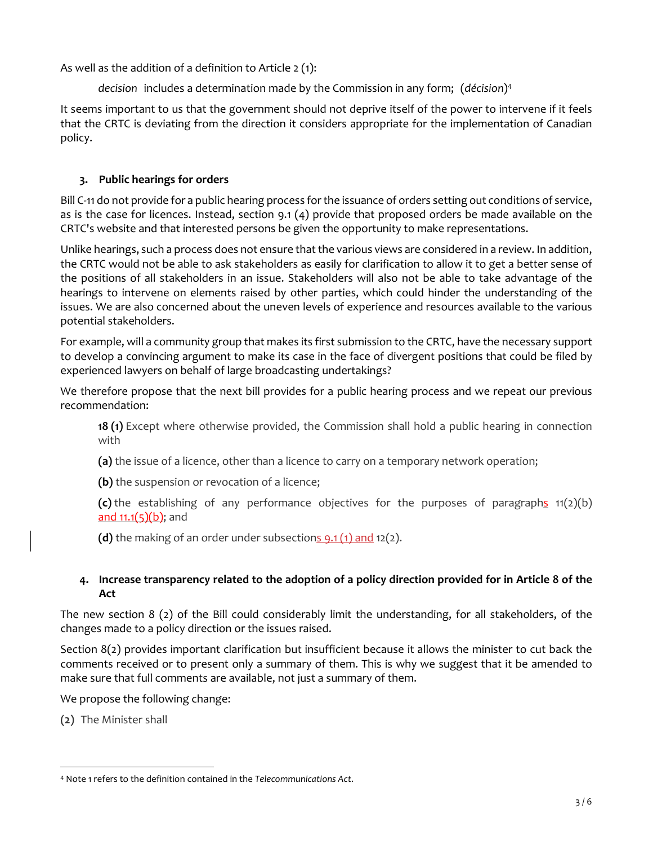As well as the addition of a definition to Article 2 (1):

*decision* includes a determination made by the Commission in any form; (*décision*) 4

It seems important to us that the government should not deprive itself of the power to intervene if it feels that the CRTC is deviating from the direction it considers appropriate for the implementation of Canadian policy.

# **3. Public hearings for orders**

Bill C-11 do not provide for a public hearing process forthe issuance of orders setting out conditions of service, as is the case for licences. Instead, section 9.1 (4) provide that proposed orders be made available on the CRTC's website and that interested persons be given the opportunity to make representations.

Unlike hearings, such a process does not ensure that the various views are considered in a review. In addition, the CRTC would not be able to ask stakeholders as easily for clarification to allow it to get a better sense of the positions of all stakeholders in an issue. Stakeholders will also not be able to take advantage of the hearings to intervene on elements raised by other parties, which could hinder the understanding of the issues. We are also concerned about the uneven levels of experience and resources available to the various potential stakeholders.

For example, will a community group that makes its first submission to the CRTC, have the necessary support to develop a convincing argument to make its case in the face of divergent positions that could be filed by experienced lawyers on behalf of large broadcasting undertakings?

We therefore propose that the next bill provides for a public hearing process and we repeat our previous recommendation:

**18 (1)** Except where otherwise provided, the Commission shall hold a public hearing in connection with

**(a)** the issue of a licence, other than a licence to carry on a temporary network operation;

**(b)** the suspension or revocation of a licence;

**(c)** the establishing of any performance objectives for the purposes of paragraphs 11(2)(b) and  $11.1(5)(b)$ ; and

**(d)** the making of an order under subsections 9.1 (1) and 12(2).

### 4. Increase transparency related to the adoption of a policy direction provided for in Article 8 of the **Act**

The new section 8 (2) of the Bill could considerably limit the understanding, for all stakeholders, of the changes made to a policy direction or the issues raised.

Section 8(2) provides important clarification but insufficient because it allows the minister to cut back the comments received or to present only a summary of them. This is why we suggest that it be amended to make sure that full comments are available, not just a summary of them.

We propose the following change:

**(2)** The Minister shall

<sup>4</sup> Note 1 refers to the definition contained in the *Telecommunications Act*.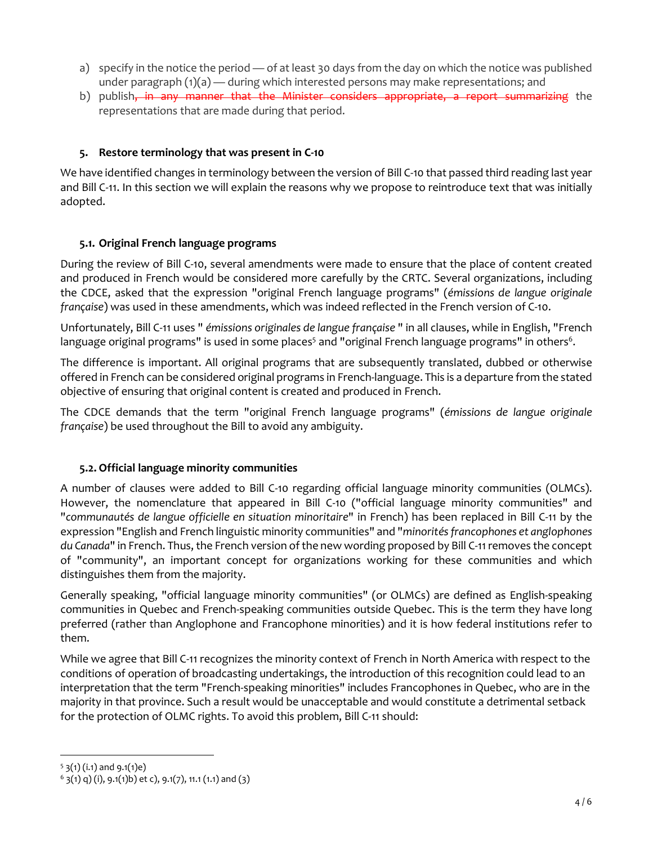- a) specify in the notice the period of at least 30 days from the day on which the notice was published under paragraph  $(1)(a)$  — during which interested persons may make representations; and
- b) publish<del>, in any manner that the Minister considers appropriate, a report summarizing</del> the representations that are made during that period.

## **5. Restore terminology that was present in C-10**

We have identified changes in terminology between the version of Bill C-10 that passed third reading last year and Bill C-11. In this section we will explain the reasons why we propose to reintroduce text that was initially adopted.

### **5.1. Original French language programs**

During the review of Bill C-10, several amendments were made to ensure that the place of content created and produced in French would be considered more carefully by the CRTC. Several organizations, including the CDCE, asked that the expression "original French language programs" (*émissions de langue originale française*) was used in these amendments, which was indeed reflected in the French version of C-10.

Unfortunately, Bill C-11 uses " *émissions originales de langue française* " in all clauses, while in English, "French language original programs" is used in some places $^{\rm 5}$  and "original French language programs" in others $^{\rm 6}$ .

The difference is important. All original programs that are subsequently translated, dubbed or otherwise offered in French can be considered original programs in French-language. This is a departure from the stated objective of ensuring that original content is created and produced in French.

The CDCE demands that the term "original French language programs" (*émissions de langue originale française*) be used throughout the Bill to avoid any ambiguity.

### **5.2.Official language minority communities**

A number of clauses were added to Bill C-10 regarding official language minority communities (OLMCs). However, the nomenclature that appeared in Bill C-10 ("official language minority communities" and "*communautés de langue officielle en situation minoritaire*" in French) has been replaced in Bill C-11 by the expression "English and French linguistic minority communities" and "*minoritésfrancophones et anglophones du Canada*" in French. Thus, the French version of the new wording proposed by Bill C-11removes the concept of "community", an important concept for organizations working for these communities and which distinguishes them from the majority.

Generally speaking, "official language minority communities" (or OLMCs) are defined as English-speaking communities in Quebec and French-speaking communities outside Quebec. This is the term they have long preferred (rather than Anglophone and Francophone minorities) and it is how federal institutions refer to them.

While we agree that Bill C-11 recognizes the minority context of French in North America with respect to the conditions of operation of broadcasting undertakings, the introduction of this recognition could lead to an interpretation that the term "French-speaking minorities" includes Francophones in Quebec, who are in the majority in that province. Such a result would be unacceptable and would constitute a detrimental setback for the protection of OLMC rights. To avoid this problem, Bill C-11 should:

 $5$  3(1) (i.1) and 9.1(1)e)

 $(6 \frac{1}{3}(1) \frac{q}{1}, 9.1(1)b)$  et c), 9.1(7), 11.1 (1.1) and (3)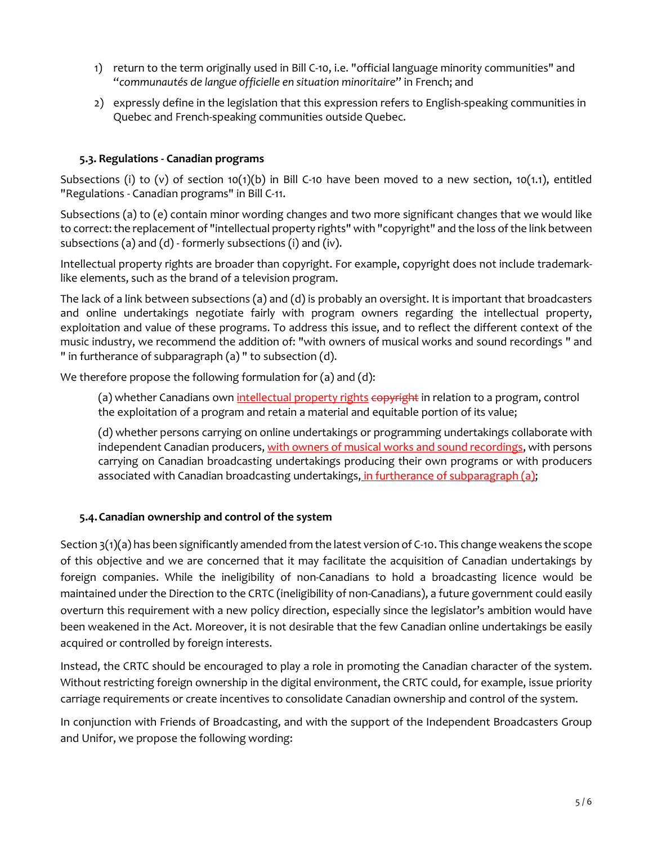- 1) return to the term originally used in Bill C-10, i.e. "official language minority communities" and "*communautés de langue officielle en situation minoritaire*" in French; and
- 2) expressly define in the legislation that this expression refers to English-speaking communities in Quebec and French-speaking communities outside Quebec.

### **5.3. Regulations - Canadian programs**

Subsections (i) to (v) of section 10(1)(b) in Bill C-10 have been moved to a new section, 10(1.1), entitled "Regulations - Canadian programs" in Bill C-11.

Subsections (a) to (e) contain minor wording changes and two more significant changes that we would like to correct: the replacement of "intellectual property rights" with "copyright" and the loss of the link between subsections (a) and (d) - formerly subsections (i) and (iv).

Intellectual property rights are broader than copyright. For example, copyright does not include trademarklike elements, such as the brand of a television program.

The lack of a link between subsections (a) and (d) is probably an oversight. It is important that broadcasters and online undertakings negotiate fairly with program owners regarding the intellectual property, exploitation and value of these programs. To address this issue, and to reflect the different context of the music industry, we recommend the addition of: "with owners of musical works and sound recordings " and " in furtherance of subparagraph (a) " to subsection (d).

We therefore propose the following formulation for (a) and (d):

(a) whether Canadians own intellectual property rights copyright in relation to a program, control the exploitation of a program and retain a material and equitable portion of its value;

(d) whether persons carrying on online undertakings or programming undertakings collaborate with independent Canadian producers, with owners of musical works and sound recordings, with persons carrying on Canadian broadcasting undertakings producing their own programs or with producers associated with Canadian broadcasting undertakings, in furtherance of subparagraph (a);

### **5.4.Canadian ownership and control of the system**

Section 3(1)(a) has been significantly amended from the latest version of C-10. This change weakens the scope of this objective and we are concerned that it may facilitate the acquisition of Canadian undertakings by foreign companies. While the ineligibility of non-Canadians to hold a broadcasting licence would be maintained under the Direction to the CRTC (ineligibility of non-Canadians), a future government could easily overturn this requirement with a new policy direction, especially since the legislator's ambition would have been weakened in the Act. Moreover, it is not desirable that the few Canadian online undertakings be easily acquired or controlled by foreign interests.

Instead, the CRTC should be encouraged to play a role in promoting the Canadian character of the system. Without restricting foreign ownership in the digital environment, the CRTC could, for example, issue priority carriage requirements or create incentives to consolidate Canadian ownership and control of the system.

In conjunction with Friends of Broadcasting, and with the support of the Independent Broadcasters Group and Unifor, we propose the following wording: